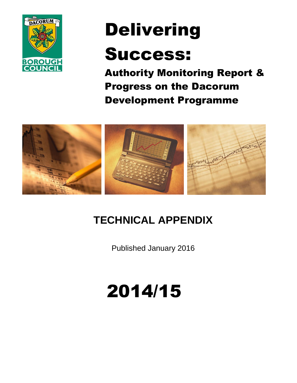

# Delivering

## Success:

Authority Monitoring Report & Progress on the Dacorum Development Programme



## **TECHNICAL APPENDIX**

Published January 2016

## 2014/15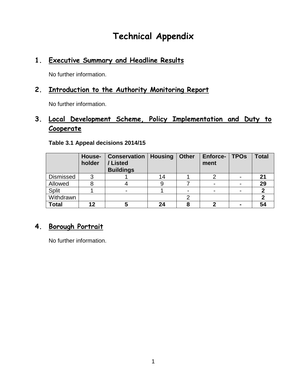## **Technical Appendix**

## **1. Executive Summary and Headline Results**

No further information.

### **2. Introduction to the Authority Monitoring Report**

No further information.

## **3. Local Development Scheme, Policy Implementation and Duty to Cooperate**

|              | House-<br>holder | <b>Conservation   Housing</b><br>/Listed<br><b>Buildings</b> |    | <b>Other</b> | <b>Enforce-</b><br>ment | <b>TPOs</b> | <b>Total</b> |
|--------------|------------------|--------------------------------------------------------------|----|--------------|-------------------------|-------------|--------------|
| Dismissed    | ົ                |                                                              | 14 |              |                         |             | 21           |
| Allowed      |                  |                                                              |    |              |                         |             | 29           |
| Split        |                  |                                                              |    |              |                         |             |              |
| Withdrawn    |                  |                                                              |    |              |                         |             |              |
| <b>Total</b> | 12               | C                                                            | 24 | 8            |                         |             | 54           |

#### **Table 3.1 Appeal decisions 2014/15**

#### **4. Borough Portrait**

No further information.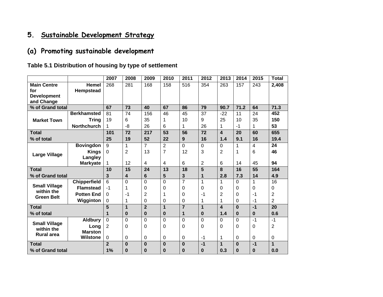## **5. Sustainable Development Strategy**

## **(a) Promoting sustainable development**

#### **Table 5.1 Distribution of housing by type of settlement**

|                                    |                     | 2007           | 2008           | 2009           | 2010           | 2011           | 2012           | 2013           | 2014           | 2015     | <b>Total</b>   |
|------------------------------------|---------------------|----------------|----------------|----------------|----------------|----------------|----------------|----------------|----------------|----------|----------------|
| <b>Main Centre</b>                 | <b>Hemel</b>        | 268            | 281            | 168            | 158            | 516            | 354            | 263            | 157            | 243      | 2,408          |
| for                                | Hempstead           |                |                |                |                |                |                |                |                |          |                |
| <b>Development</b>                 |                     |                |                |                |                |                |                |                |                |          |                |
| and Change                         |                     |                |                |                |                |                |                |                |                |          |                |
| % of Grand total                   |                     | 67             | 73             | 40             | 67             | 86             | 79             | 90.7           | 71.2           | 64       | 71.3           |
|                                    | <b>Berkhamsted</b>  | 81             | 74             | 156            | 46             | 45             | 37             | $-22$          | 11             | 24       | 452            |
| <b>Market Town</b>                 | <b>Tring</b>        | 19             | 6              | 35             | 1              | 10             | 9              | 25             | 10             | 35       | 150            |
|                                    | <b>Northchurch</b>  | 1              | -8             | 26             | 6              | 1.             | 26             | 1              | $-1$           | 1        | 53             |
| <b>Total</b>                       |                     | 101            | 72             | 217            | 53             | 56             | 72             | 4              | 20             | 60       | 655            |
| % of total                         |                     | 25             | 19             | 52             | 22             | 9              | 16             | 1.4            | 9.1            | 16       | 19.4           |
|                                    | <b>Bovingdon</b>    | 9              | 1              | $\overline{7}$ | $\overline{2}$ | 0              | $\Omega$       | 0              | 1              | 4        | 24             |
| <b>Large Village</b>               | <b>Kings</b>        | $\mathbf 0$    | $\overline{2}$ | 13             | $\overline{7}$ | 12             | 3              | 2              | 1              | 6        | 46             |
|                                    | Langley             |                |                |                |                |                |                |                |                |          |                |
|                                    | <b>Markyate</b>     | 1.             | 12             | 4              | 4              | 6              | $\overline{2}$ | 6              | 14             | 45       | 94             |
| <b>Total</b>                       |                     | 10             | 15             | 24             | 13             | 18             | 5              | 8              | 16             | 55       | 164            |
| % of Grand total                   |                     | 3              | 4              | 6              | 5              | 3              | 1              | 2.8            | 7.3            | 14       | 4.9            |
|                                    | <b>Chipperfield</b> | 6              | $\Omega$       | $\Omega$       | $\Omega$       | $\overline{7}$ | 1              | 1              | $\Omega$       | 1        | 16             |
| <b>Small Village</b><br>within the | <b>Flamstead</b>    | $-1$           | 1              | 0              | 0              | 0              | 0              | $\Omega$       | 0              | 0        | 0              |
| <b>Green Belt</b>                  | <b>Potten End</b>   | $\Omega$       | $-1$           | $\overline{2}$ | 1              | 0              | $-1$           | $\overline{2}$ | $\Omega$       | $-1$     | $\overline{2}$ |
|                                    | Wigginton           | 0              | 1              | 0              | 0              | 0              | 1              | 1              | 0              | $-1$     | $\overline{2}$ |
| <b>Total</b>                       |                     | 5              | $\mathbf{1}$   | $\overline{2}$ | 1              | $\overline{7}$ | 1              | 4              | $\bf{0}$       | $-1$     | 20             |
| % of total                         |                     | 1              | $\bf{0}$       | $\bf{0}$       | 0              | 1              | $\bf{0}$       | 1.4            | $\bf{0}$       | $\bf{0}$ | 0.6            |
|                                    | <b>Aldbury</b>      | $\mathbf 0$    | $\mathbf 0$    | 0              | $\overline{0}$ | 0              | $\overline{0}$ | $\mathbf 0$    | $\overline{0}$ | $-1$     | $-1$           |
| <b>Small Village</b>               | Long                | 2              | 0              | 0              | 0              | 0              | 0              | 0              | 0              | 0        | $\overline{2}$ |
| within the<br><b>Rural area</b>    | <b>Marston</b>      |                |                |                |                |                |                |                |                |          |                |
|                                    | <b>Wilstone</b>     | 0              | 0              | 0              | 0              | 0              | $-1$           | 1              | $\mathbf 0$    | 0        | $\mathbf 0$    |
| <b>Total</b>                       |                     | $\overline{2}$ | $\bf{0}$       | $\mathbf{0}$   | $\bf{0}$       | $\bf{0}$       | $-1$           | $\mathbf 1$    | $\bf{0}$       | $-1$     | $\mathbf{1}$   |
| % of Grand total                   |                     | 1%             | $\bf{0}$       | $\bf{0}$       | 0              | 0              | $\bf{0}$       | 0.3            | $\bf{0}$       | 0        | 0.0            |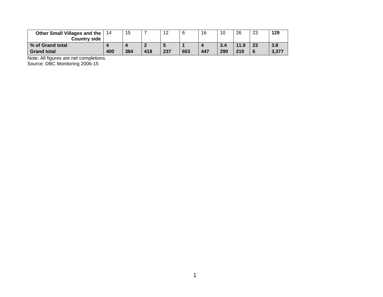| Other Small Villages and the<br><b>Country side</b> | 14  | 15  |     | 12  |     | 16  | 10  | 26   | 23 | 129   |
|-----------------------------------------------------|-----|-----|-----|-----|-----|-----|-----|------|----|-------|
| % of Grand total                                    |     |     |     |     |     |     | 3.4 | 11.9 | 23 | 3.8   |
| <b>Grand total</b>                                  | 400 | 384 | 418 | 237 | 603 | 447 | 290 | 219  |    | 3,377 |

Note: All figures are net completions.

Source: DBC Monitoring 2006-15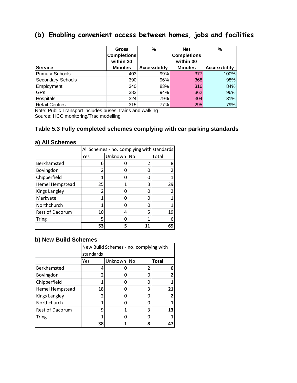## **(b) Enabling convenient access between homes, jobs and facilities**

|                        | <b>Gross</b>       | %                    | <b>Net</b>         | %                    |
|------------------------|--------------------|----------------------|--------------------|----------------------|
|                        | <b>Completions</b> |                      | <b>Completions</b> |                      |
|                        | within 30          |                      | within 30          |                      |
| <b>Service</b>         | <b>Minutes</b>     | <b>Accessibility</b> | <b>Minutes</b>     | <b>Accessibility</b> |
| <b>Primary Schools</b> | 403                | 99%                  | 377                | 100%                 |
| Secondary Schools      | 390                | 96%                  | 368                | 98%                  |
| Employment             | 340                | 83%                  | 316                | 84%                  |
| GPs                    | 382                | 94%                  | 362                | 96%                  |
| Hospitals              | 324                | 79%                  | 304                | 81%                  |
| <b>Retail Centres</b>  | 315                | 77%                  | 295                | 79%                  |

Note: Public Transport includes buses, trains and walking Source: HCC monitoring/Trac modelling

#### **Table 5.3 Fully completed schemes complying with car parking standards**

|                        |     | All Schemes - no. complying with standards |   |       |  |  |  |  |
|------------------------|-----|--------------------------------------------|---|-------|--|--|--|--|
|                        | Yes | Unknown No                                 |   | Total |  |  |  |  |
| Berkhamsted            | 6   |                                            |   |       |  |  |  |  |
| Bovingdon              |     |                                            |   |       |  |  |  |  |
| Chipperfield           |     |                                            |   |       |  |  |  |  |
| Hemel Hempstead        | 25  |                                            |   | 29    |  |  |  |  |
| Kings Langley          |     |                                            |   |       |  |  |  |  |
| Markyate               |     |                                            |   |       |  |  |  |  |
| Northchurch            |     |                                            |   |       |  |  |  |  |
| <b>Rest of Dacorum</b> | 10  | 4                                          | 5 | 19    |  |  |  |  |
| Tring                  | 5   |                                            |   |       |  |  |  |  |
|                        | 53  |                                            |   | 69    |  |  |  |  |

#### **a) All Schemes**

#### **b) New Build Schemes**

|                 | New Build Schemes - no. complying with |            |   |       |  |  |  |
|-----------------|----------------------------------------|------------|---|-------|--|--|--|
|                 | standards                              |            |   |       |  |  |  |
|                 | Yes                                    | Unknown No |   | Total |  |  |  |
| Berkhamsted     | 4                                      |            |   | Б     |  |  |  |
| Bovingdon       |                                        |            |   |       |  |  |  |
| Chipperfield    |                                        |            |   |       |  |  |  |
| Hemel Hempstead | 18                                     |            |   | 21    |  |  |  |
| Kings Langley   |                                        |            |   |       |  |  |  |
| Northchurch     |                                        |            |   |       |  |  |  |
| Rest of Dacorum | ٩                                      |            |   | 13    |  |  |  |
| Tring           |                                        |            |   |       |  |  |  |
|                 | 38                                     |            | Զ |       |  |  |  |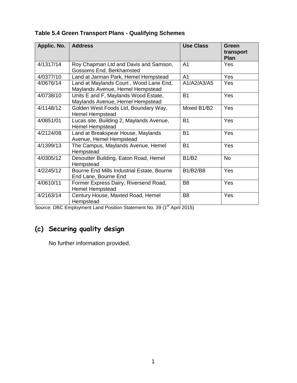| Applic. No. | <b>Address</b>                                                             | <b>Use Class</b> | <b>Green</b><br>transport<br>Plan |
|-------------|----------------------------------------------------------------------------|------------------|-----------------------------------|
| 4/1317/14   | Roy Chapman Ltd and Davis and Samson,<br>Gossoms End, Berkhamsted          | A <sub>1</sub>   | Yes                               |
| 4/0377/10   | Land at Jarman Park, Hemel Hempstead                                       | A <sub>1</sub>   | Yes                               |
| 4/0676/14   | Land at Maylands Court, Wood Lane End,<br>Maylands Avenue, Hemel Hempstead | A1/A2/A3/A5      | <b>Yes</b>                        |
| 4/0738/10   | Units E and F, Maylands Wood Estate,<br>Maylands Avenue, Hemel Hempstead   | <b>B1</b>        | Yes                               |
| 4/1148/12   | Golden West Foods Ltd, Boundary Way,<br><b>Hemel Hempstead</b>             | Mixed B1/B2      | Yes                               |
| 4/0851/01   | Lucas site, Building 2, Maylands Avenue,<br><b>Hemel Hempstead</b>         | <b>B1</b>        | Yes                               |
| 4/2124/08   | Land at Breakspear House, Maylands<br>Avenue, Hemel Hempstead              | <b>B1</b>        | Yes                               |
| 4/1399/13   | The Campus, Maylands Avenue, Hemel<br>Hempstead                            | <b>B1</b>        | Yes                               |
| 4/0305/12   | Desoutter Building, Eaton Road, Hemel<br>Hempstead                         | <b>B1/B2</b>     | <b>No</b>                         |
| 4/2245/12   | Bourne End Mills Industrial Estate, Bourne<br>End Lane, Bourne End         | <b>B1/B2/B8</b>  | <b>Yes</b>                        |
| 4/0610/11   | Former Express Dairy, Riversend Road,<br>Hemel Hempstead                   | B <sub>8</sub>   | Yes                               |
| 4/2163/14   | Century House, Maxted Road, Hemel<br>Hempstead                             | B <sub>8</sub>   | Yes                               |

#### **Table 5.4 Green Transport Plans - Qualifying Schemes**

Source: DBC Employment Land Position Statement No. 39 (1<sup>st</sup> April 2015)

## **(c) Securing quality design**

No further information provided.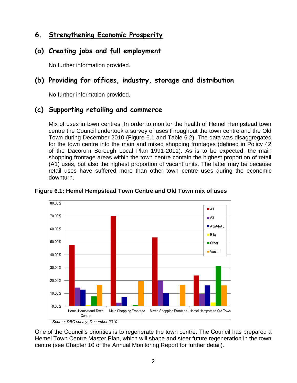## **6. Strengthening Economic Prosperity**

### **(a) Creating jobs and full employment**

No further information provided.

## **(b) Providing for offices, industry, storage and distribution**

No further information provided.

#### **(c) Supporting retailing and commerce**

Mix of uses in town centres: In order to monitor the health of Hemel Hempstead town centre the Council undertook a survey of uses throughout the town centre and the Old Town during December 2010 (Figure 6.1 and Table 6.2). The data was disaggregated for the town centre into the main and mixed shopping frontages (defined in Policy 42 of the Dacorum Borough Local Plan 1991-2011). As is to be expected, the main shopping frontage areas within the town centre contain the highest proportion of retail (A1) uses, but also the highest proportion of vacant units. The latter may be because retail uses have suffered more than other town centre uses during the economic downturn.



**Figure 6.1: Hemel Hempstead Town Centre and Old Town mix of uses**

One of the Council's priorities is to regenerate the town centre. The Council has prepared a Hemel Town Centre Master Plan, which will shape and steer future regeneration in the town centre (see Chapter 10 of the Annual Monitoring Report for further detail).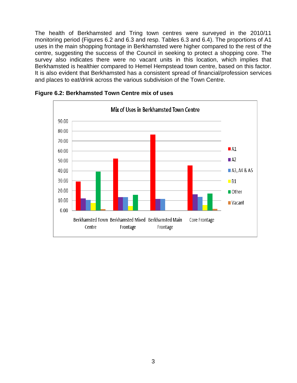The health of Berkhamsted and Tring town centres were surveyed in the 2010/11 monitoring period (Figures 6.2 and 6.3 and resp. Tables 6.3 and 6.4). The proportions of A1 uses in the main shopping frontage in Berkhamsted were higher compared to the rest of the centre, suggesting the success of the Council in seeking to protect a shopping core. The survey also indicates there were no vacant units in this location, which implies that Berkhamsted is healthier compared to Hemel Hempstead town centre, based on this factor. It is also evident that Berkhamsted has a consistent spread of financial/profession services and places to eat/drink across the various subdivision of the Town Centre.



**Figure 6.2: Berkhamsted Town Centre mix of uses**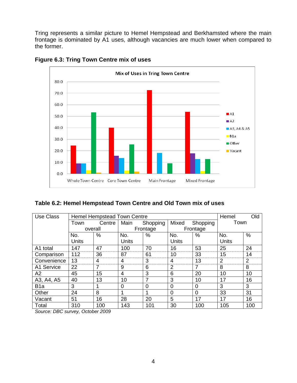Tring represents a similar picture to Hemel Hempstead and Berkhamsted where the main frontage is dominated by A1 uses, although vacancies are much lower when compared to the former.



**Figure 6.3: Tring Town Centre mix of uses**

#### **Table 6.2: Hemel Hempstead Town Centre and Old Town mix of uses**

| <b>Use Class</b> |              | <b>Hemel Hempstead Town Centre</b> |                | Hemel          | Old          |          |                |                |
|------------------|--------------|------------------------------------|----------------|----------------|--------------|----------|----------------|----------------|
|                  | Town         | Centre                             | Main           | Shopping       | Mixed        | Shopping | Town           |                |
|                  | overall      |                                    |                | Frontage       |              | Frontage |                |                |
|                  | No.          | %                                  | No.            | $\%$           | No.          | %        | No.            | $\%$           |
|                  | <b>Units</b> |                                    | <b>Units</b>   |                | <b>Units</b> |          | <b>Units</b>   |                |
| A1 total         | 147          | 47                                 | 100            | 70             | 16           | 53       | 25             | 24             |
| Comparison       | 112          | 36                                 | 87             | 61             | 10           | 33       | 15             | 14             |
| Convenience      | 13           | 4                                  | 4              | 3              | 4            | 13       | $\overline{2}$ | $\overline{2}$ |
| A1 Service       | 22           | 7                                  | 9              | 6              | 2            | 7        | 8              | 8              |
| A2               | 45           | 15                                 | 4              | 3              | 6            | 20       | 10             | 10             |
| A3, A4, A5       | 40           | 13                                 | 10             | 7              | 3            | 10       | 17             | 16             |
| B <sub>1</sub> a | 3            |                                    | $\overline{0}$ | $\overline{0}$ | $\Omega$     | 0        | 3              | 3              |
| Other            | 24           | 8                                  | 1              |                | $\Omega$     | $\Omega$ | 33             | 31             |
| Vacant           | 51           | 16                                 | 28             | 20             | 5            | 17       | 17             | 16             |
| Total            | 310          | 100                                | 143            | 101            | 30           | 100      | 105            | 100            |

*Source: DBC survey, October 2009*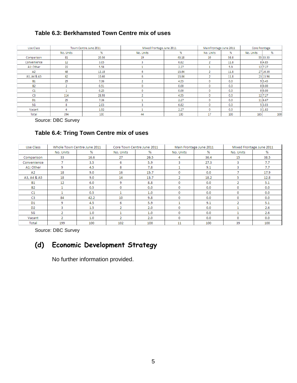#### **Table 6.3: Berkhamsted Town Centre mix of uses**

| Use Class      |           | Town Centre June 2011 | Mixed Frontage June 2011 |       |                          | MainFrontage June 2011 |           | Core Frontage |  |
|----------------|-----------|-----------------------|--------------------------|-------|--------------------------|------------------------|-----------|---------------|--|
|                | No. Units | %                     | No. Units                | %     | No. Units                | %                      | No. Units | %             |  |
| Comparison     | 81        | 20.56                 | 19                       | 43.18 | 10                       | 58.8                   |           | 55 33.33      |  |
| Convenience    | 12        | 3.05                  | 3                        | 6.82  | $\overline{2}$           | 11.8                   |           | 84.85         |  |
| A1: Other      | 22        | 5.58                  |                          | 2.27  |                          | 5.9                    |           | 12 7.27       |  |
| A2             | 48        | 12.18                 | 6                        | 13.64 | $\overline{\phantom{a}}$ | 11.8                   |           | 27 16.36      |  |
| A3, A4 & A5    | 42        | 10.66                 | 6                        | 13.64 | e.                       | 11.8                   |           | 23 13.94      |  |
| <b>B1</b>      | 29        | 7.36                  |                          | 4.55  | 0                        | 0.0                    |           | 9 5.45        |  |
| <b>B2</b>      |           | 0.51                  | 0                        | 0.00  | 0                        | 0.0                    |           | 0 0.00        |  |
| C1             |           | 0.25                  | o                        | 0.00  | 0                        | 0.0                    |           | 0 0.00        |  |
| C <sub>3</sub> | 114       | 28.93                 |                          | 4.55  | 0                        | 0.0                    |           | 12 7.27       |  |
| D <sub>1</sub> | 29        | 7.36                  |                          | 2.27  | 0                        | 0.0                    |           | 11 6.67       |  |
| SG             | 8         | 2.03                  |                          | 6.82  | 0                        | 0.0                    |           | 5 3.03        |  |
| Vacant         | 6         | 1.52                  |                          | 2.27  | 0                        | 0.0                    |           | 3 1.82        |  |
| Total          | 394       | 100                   | 44                       | 100   | 17                       | 100                    | 165       | 100           |  |

Source: DBC Survey

#### **Table 6.4: Tring Town Centre mix of uses**

| Use Class      |               | Whole Town Centre June 2011 |                | Core Town Centre June 2011 |                | Main Frontage June 2011 |                | Mixed Frontage June 2011 |
|----------------|---------------|-----------------------------|----------------|----------------------------|----------------|-------------------------|----------------|--------------------------|
|                | No. Units     | %                           | No. Units      | %                          | No. Units      | %                       | No. Units      | %                        |
| Comparison     | 33            | 16.6                        | 27             | 26.5                       | 4              | 36.4                    | 15             | 38.5                     |
| Convenience    | 7             | 3.5                         | 6              | 5.9                        | з              | 27.3                    | 3              | 7.7                      |
| A1: Other      | 9             | 4.5                         | 8              | 7.8                        |                | 9.1                     | 3              | 7.7                      |
| A2             | 18            | 9.0                         | 16             | 15.7                       | 0              | 0.0                     |                | 17.9                     |
| A3, A4 & A5    | 18            | 9.0                         | 14             | 13.7                       | $\overline{2}$ | 18.2                    | 5              | 12.8                     |
| <b>B1</b>      | 12            | 6.0                         | 9              | 8.8                        | 0              | 0.0                     | 2              | 5.1                      |
| <b>B2</b>      | 1             | 0.5                         | 0              | 0.0                        | 0              | 0.0                     | 0              | 0.0                      |
| C1             |               | 0.5                         |                | 1.0                        | 0              | 0.0                     | 0              | 0.0                      |
| C3             | 84            | 42.2                        | 10             | 9.8                        | 0              | 0.0                     | 0              | 0.0                      |
| D1             | 9             | 4.5                         | 6              | 5.9                        |                | 9.1                     | $\overline{2}$ | 5.1                      |
| D <sub>2</sub> | 3             | 1.5                         | 2              | 2.0                        | 0              | 0.0                     |                | 2.6                      |
| SG             | $\mathcal{D}$ | 1.0                         |                | 1.0                        | 0              | 0.0                     |                | 2.6                      |
| Vacant         | 2.            | 1.0                         | $\overline{2}$ | 2.0                        | 0              | 0.0                     | 0              | 0.0                      |
| Total          | 199           | 100                         | 102            | 100                        | 11             | 100                     | 39             | 100                      |

Source: DBC Survey

## **(d) Economic Development Strategy**

No further information provided.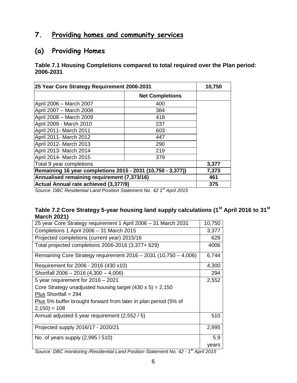## **7. Providing homes and community services**

## **(a) Providing Homes**

**Table 7.1 Housing Completions compared to total required over the Plan period: 2006-2031**

| 25 Year Core Strategy Requirement 2006-2031                 | 10,750                 |       |
|-------------------------------------------------------------|------------------------|-------|
|                                                             | <b>Net Completions</b> |       |
| April 2006 - March 2007                                     | 400                    |       |
| April 2007 - March 2008                                     | 384                    |       |
| April 2008 - March 2009                                     | 418                    |       |
| April 2009 - March 2010                                     | 237                    |       |
| April 2011- March 2011                                      | 603                    |       |
| April 2011- March 2012                                      | 447                    |       |
| April 2012- March 2013                                      | 290                    |       |
| April 2013- March 2014                                      | 219                    |       |
| April 2014- March 2015                                      | 379                    |       |
| Total 9 year completions                                    |                        | 3,377 |
| Remaining 16 year completions 2015 - 2031 (10,750 - 3,377)) | 7,373                  |       |
| Annualised remaining requirement (7,373/16)                 | 461                    |       |
| Actual Annual rate achieved (3,377/9)                       | 375                    |       |

*Source: DBC Residential Land Position Statement No. 42 1 st April 2015*

#### **Table 7.2 Core Strategy 5-year housing land supply calculations (1st April 2016 to 31st March 2021)**

| 25 year Core Strategy requirement 1 April 2006 - 31 March 2031   | 10,750                                        |
|------------------------------------------------------------------|-----------------------------------------------|
| Completions 1 April 2006 - 31 March 2015                         | 3,377                                         |
| Projected completions (current year) 2015/16                     | 629                                           |
| Total projected completions 2006-2016 (3,377+ 629)               | 4006                                          |
| Remaining Core Strategy requirement 2016 - 2031 (10,750 - 4,006) | 6,744                                         |
| Requirement for 2006 - 2016 (430 x10)                            | 4,300                                         |
| Shortfall 2006 - 2016 (4,300 - 4,006)                            | 294                                           |
| 5 year requirement for 2016 - 2021                               | 2,552                                         |
| Core Strategy unadjusted housing target $(430 \times 5) = 2,150$ |                                               |
| Plus Shortfall = $294$                                           |                                               |
| Plus 5% buffer brought forward from later in plan period (5% of  |                                               |
| $2,150$ ) = 108                                                  |                                               |
| Annual adjusted 5 year requirement (2,552 / 5)                   | 510                                           |
| Projected supply 2016/17 - 2020/21                               | 2,995                                         |
| No. of years supply $(2,995/510)$                                | 5.9                                           |
| ∡st ∧<br>$\mathbf{r}$<br>$\overline{a}$<br>$\sim$<br><b></b>     | years<br>$\cdots$ $\sim$ $\sim$ $\sim$ $\sim$ |

*Source: DBC monitoring /Residential Land Position Statement No. 42 - 1 st April 2015*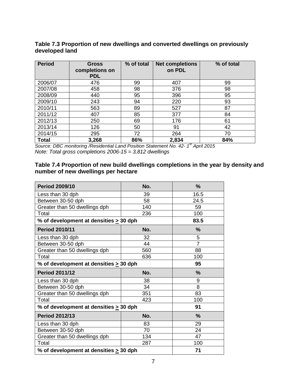#### **Table 7.3 Proportion of new dwellings and converted dwellings on previously developed land**

| <b>Period</b> | <b>Gross</b><br>completions on<br><b>PDL</b> | % of total | <b>Net completions</b><br>on PDL | % of total |
|---------------|----------------------------------------------|------------|----------------------------------|------------|
| 2006/07       | 476                                          | 99         | 407                              | 99         |
| 2007/08       | 458                                          | 98         | 376                              | 98         |
| 2008/09       | 440                                          | 95         | 396                              | 95         |
| 2009/10       | 243                                          | 94         | 220                              | 93         |
| 2010/11       | 563                                          | 89         | 527                              | 87         |
| 2011/12       | 407                                          | 85         | 377                              | 84         |
| 2012/13       | 250                                          | 69         | 176                              | 61         |
| 2013/14       | 126                                          | 50         | 91                               | 42         |
| 2014/15       | 295                                          | 72         | 264                              | 70         |
| <b>Total</b>  | 3,268                                        | 86%        | 2,834                            | 84%        |

*Source: DBC monitoring /Residential Land Position Statement No. 42- 1 st April 2015 Note: Total gross completions 2006-15 = 3,812 dwellings*

#### **Table 7.4 Proportion of new build dwellings completions in the year by density and number of new dwellings per hectare**

| <b>Period 2009/10</b>                       | No. | %              |
|---------------------------------------------|-----|----------------|
| Less than 30 dph                            | 39  | 16.5           |
| Between 30-50 dph                           | 58  | 24.5           |
| Greater than 50 dwellings dph               | 140 | 59             |
| Total                                       | 236 | 100            |
| % of development at densities $\geq$ 30 dph |     | 83.5           |
| <b>Period 2010/11</b>                       | No. | $\frac{9}{6}$  |
| Less than 30 dph                            | 32  | 5              |
| Between 30-50 dph                           | 44  | $\overline{7}$ |
| Greater than 50 dwellings dph               | 560 | 88             |
| Total                                       | 636 | 100            |
| % of development at densities > 30 dph      |     | 95             |
| <b>Period 2011/12</b>                       | No. | $\frac{9}{6}$  |
| Less than 30 dph                            | 38  | 9              |
| Between 30-50 dph                           | 34  | 8              |
| Greater than 50 dwellings dph               | 351 | 83             |
| Total                                       | 423 | 100            |
| % of development at densities $\geq 30$ dph |     | 91             |
| <b>Period 2012/13</b>                       | No. | $\frac{9}{6}$  |
| Less than 30 dph                            | 83  | 29             |
| Between 30-50 dph                           | 70  | 24             |
| Greater than 50 dwellings dph               | 134 | 47             |
| Total                                       | 287 | 100            |
| % of development at densities $\geq$ 30 dph | 71  |                |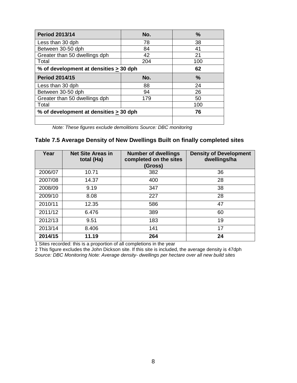| <b>Period 2013/14</b>                       | No. | $\frac{0}{0}$ |
|---------------------------------------------|-----|---------------|
| Less than 30 dph                            | 78  | 38            |
| Between 30-50 dph                           | 84  | 41            |
| Greater than 50 dwellings dph               | 42  | 21            |
| Total                                       | 204 | 100           |
| % of development at densities > 30 dph      |     | 62            |
| <b>Period 2014/15</b>                       | No. | $\frac{0}{0}$ |
| Less than 30 dph                            | 88  | 24            |
| Between 30-50 dph                           | 94  | 26            |
| Greater than 50 dwellings dph               | 179 | 50            |
| Total                                       |     | 100           |
| % of development at densities $\geq$ 30 dph | 76  |               |
|                                             |     |               |

*Note: These figures exclude demolitions Source: DBC monitoring* 

#### **Table 7.5 Average Density of New Dwellings Built on finally completed sites**

| Year    | <b>Net Site Areas in</b><br>total (Ha) | <b>Number of dwellings</b><br>completed on the sites<br>(Gross) | <b>Density of Development</b><br>dwellings/ha |
|---------|----------------------------------------|-----------------------------------------------------------------|-----------------------------------------------|
| 2006/07 | 10.71                                  | 382                                                             | 36                                            |
| 2007/08 | 14.37                                  | 400                                                             | 28                                            |
| 2008/09 | 9.19                                   | 347                                                             | 38                                            |
| 2009/10 | 8.08                                   | 227                                                             | 28                                            |
| 2010/11 | 12.35                                  | 586                                                             | 47                                            |
| 2011/12 | 6.476                                  | 389                                                             | 60                                            |
| 2012/13 | 9.51                                   | 183                                                             | 19                                            |
| 2013/14 | 8.406                                  | 141                                                             | 17                                            |
| 2014/15 | 11.19                                  | 264                                                             | 24                                            |

1 Sites recorded: this is a proportion of all completions in the year

2 This figure excludes the John Dickson site. If this site is included, the average density is 47dph *Source: DBC Monitoring Note: Average density- dwellings per hectare over all new build sites*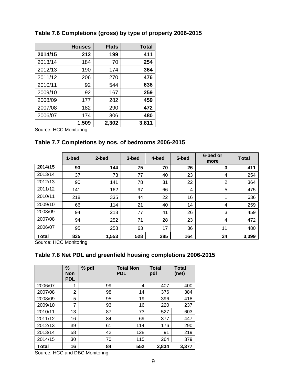|         | <b>Houses</b> | <b>Flats</b> | <b>Total</b> |
|---------|---------------|--------------|--------------|
| 2014/15 | 212           | 199          | 411          |
| 2013/14 | 184           | 70           | 254          |
| 2012/13 | 190           | 174          | 364          |
| 2011/12 | 206           | 270          | 476          |
| 2010/11 | 92            | 544          | 636          |
| 2009/10 | 92            | 167          | 259          |
| 2008/09 | 177           | 282          | 459          |
| 2007/08 | 182           | 290          | 472          |
| 2006/07 | 174           | 306          | 480          |
|         | 1,509         | 2,302        | 3,811        |

#### **Table 7.6 Completions (gross) by type of property 2006-2015**

Source: HCC Monitoring

#### **Table 7.7 Completions by nos. of bedrooms 2006-2015**

|              | 1-bed | 2-bed | 3-bed | 4-bed | 5-bed | 6-bed or<br>more | <b>Total</b> |
|--------------|-------|-------|-------|-------|-------|------------------|--------------|
| 2014/15      | 93    | 144   | 75    | 70    | 26    | 3                | 411          |
| 2013/14      | 37    | 73    | 77    | 40    | 23    | 4                | 254          |
| 2012/13      | 90    | 141   | 78    | 31    | 22    | 2                | 364          |
| 2011/12      | 141   | 162   | 97    | 66    | 4     | 5                | 475          |
| 2010/11      | 218   | 335   | 44    | 22    | 16    | 1                | 636          |
| 2009/10      | 66    | 114   | 21    | 40    | 14    | 4                | 259          |
| 2008/09      | 94    | 218   | 77    | 41    | 26    | 3                | 459          |
| 2007/08      | 94    | 252   | 71    | 28    | 23    | $\overline{4}$   | 472          |
| 2006/07      | 95    | 258   | 63    | 17    | 36    | 11               | 480          |
| <b>Total</b> | 835   | 1,553 | 528   | 285   | 164   | 34               | 3,399        |

Source: HCC Monitoring

#### **Table 7.8 Net PDL and greenfield housing completions 2006-2015**

|         | %<br>Non<br><b>PDL</b> | % pdl | <b>Total Non</b><br><b>PDL</b> | <b>Total</b><br>pdl | <b>Total</b><br>(net) |
|---------|------------------------|-------|--------------------------------|---------------------|-----------------------|
| 2006/07 | 1                      | 99    | 4                              | 407                 | 400                   |
| 2007/08 | 2                      | 98    | 14                             | 376                 | 384                   |
| 2008/09 | 5                      | 95    | 19                             | 396                 | 418                   |
| 2009/10 | 7                      | 93    | 16                             | 220                 | 237                   |
| 2010/11 | 13                     | 87    | 73                             | 527                 | 603                   |
| 2011/12 | 16                     | 84    | 69                             | 377                 | 447                   |
| 2012/13 | 39                     | 61    | 114                            | 176                 | 290                   |
| 2013/14 | 58                     | 42    | 128                            | 91                  | 219                   |
| 2014/15 | 30                     | 70    | 115                            | 264                 | 379                   |
| Total   | 16                     | 84    | 552                            | 2,834               | 3,377                 |

Source: HCC and DBC Monitoring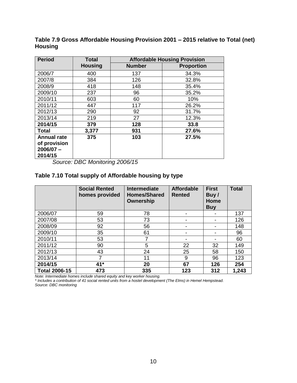| <b>Period</b>      | <b>Total</b>   | <b>Affordable Housing Provision</b> |                   |  |  |
|--------------------|----------------|-------------------------------------|-------------------|--|--|
|                    | <b>Housing</b> | <b>Number</b>                       | <b>Proportion</b> |  |  |
| 2006/7             | 400            | 137                                 | 34.3%             |  |  |
| 2007/8             | 384            | 126                                 | 32.8%             |  |  |
| 2008/9             | 418            | 148                                 | 35.4%             |  |  |
| 2009/10            | 237            | 96                                  | 35.2%             |  |  |
| 2010/11            | 603            | 60                                  | 10%               |  |  |
| 2011/12            | 447            | 117                                 | 26.2%             |  |  |
| 2012/13            | 290            | 92                                  | 31.7%             |  |  |
| 2013/14            | 219            | 27                                  | 12.3%             |  |  |
| 2014/15            | 379            | 128                                 | 33.8              |  |  |
| <b>Total</b>       | 3,377          | 931                                 | 27.6%             |  |  |
| <b>Annual rate</b> | 375            | 103                                 | 27.5%             |  |  |
| of provision       |                |                                     |                   |  |  |
| $2006/07 -$        |                |                                     |                   |  |  |
| 2014/15            |                |                                     |                   |  |  |

**Table 7.9 Gross Affordable Housing Provision 2001 – 2015 relative to Total (net) Housing**

*Source: DBC Monitoring 2006/15*

#### **Table 7.10 Total supply of Affordable housing by type**

|                      | <b>Social Rented</b><br>homes provided | <b>Intermediate</b><br><b>Homes/Shared</b><br>Ownership | <b>Affordable</b><br><b>Rented</b> | <b>First</b><br>Buy/<br>Home<br><b>Buy</b> | <b>Total</b> |
|----------------------|----------------------------------------|---------------------------------------------------------|------------------------------------|--------------------------------------------|--------------|
| 2006/07              | 59                                     | 78                                                      |                                    |                                            | 137          |
| 2007/08              | 53                                     | 73                                                      |                                    |                                            | 126          |
| 2008/09              | 92                                     | 56                                                      |                                    |                                            | 148          |
| 2009/10              | 35                                     | 61                                                      |                                    |                                            | 96           |
| 2010/11              | 53                                     | 7                                                       |                                    |                                            | 60           |
| 2011/12              | 90                                     | 5                                                       | 22                                 | 32                                         | 149          |
| 2012/13              | 43                                     | 24                                                      | 25                                 | 58                                         | 150          |
| 2013/14              | 7                                      | 11                                                      | 9                                  | 96                                         | 123          |
| 2014/15              | 41*                                    | 20                                                      | 67                                 | 126                                        | 254          |
| <b>Total 2006-15</b> | 473                                    | 335                                                     | 123                                | 312                                        | 1,243        |

*Note: Intermediate homes include shared equity and key worker housing.* 

*\* Includes a contribution of 41 social rented units from a hostel development (The Elms) in Hemel Hempstead.*

*Source: DBC monitoring*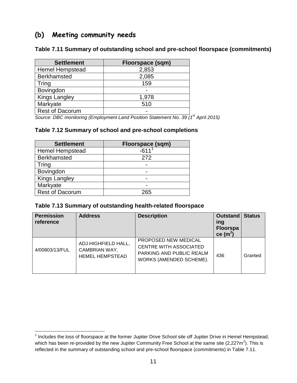## **(b) Meeting community needs**

**Table 7.11 Summary of outstanding school and pre-school floorspace (commitments)**

| <b>Settlement</b>      | Floorspace (sqm) |
|------------------------|------------------|
| <b>Hemel Hempstead</b> | 2,853            |
| <b>Berkhamsted</b>     | 2,085            |
| Tring                  | 159              |
| Bovingdon              |                  |
| <b>Kings Langley</b>   | 1,978            |
| Markyate               | 510              |
| <b>Rest of Dacorum</b> |                  |

*Source: DBC monitoring (Employment Land Position Statement No. 39 (1st April 2015)*

#### **Table 7.12 Summary of school and pre-school completions**

| <b>Settlement</b>      | Floorspace (sqm) |
|------------------------|------------------|
| <b>Hemel Hempstead</b> | -611             |
| <b>Berkhamsted</b>     | 272              |
| Tring                  |                  |
| Bovingdon              |                  |
| <b>Kings Langley</b>   |                  |
| Markyate               |                  |
| <b>Rest of Dacorum</b> | 265              |

 $\overline{a}$ 

#### **Table 7.13 Summary of outstanding health-related floorspace**

| <b>Permission</b><br>reference | <b>Address</b>                                                 | <b>Description</b>                                                                                           | <b>Outstand Status</b><br>ing<br><b>Floorspa</b><br>ce (m <sup>2</sup> ) |         |
|--------------------------------|----------------------------------------------------------------|--------------------------------------------------------------------------------------------------------------|--------------------------------------------------------------------------|---------|
| 4/00803/13/FUL                 | ADJ HIGHFIELD HALL,<br>CAMBRIAN WAY,<br><b>HEMEL HEMPSTEAD</b> | PROPOSED NEW MEDICAL<br><b>CENTRE WITH ASSOCIATED</b><br>PARKING AND PUBLIC REALM<br>WORKS (AMENDED SCHEME). | 436                                                                      | Granted |

 $1$  Includes the loss of floorspace at the former Jupiter Drive School site off Jupiter Drive in Hemel Hempstead, which has been re-provided by the new Jupiter Community Free School at the same site (2,227m<sup>2</sup>). This is reflected in the summary of outstanding school and pre-school floorspace (commitments) in Table 7.11.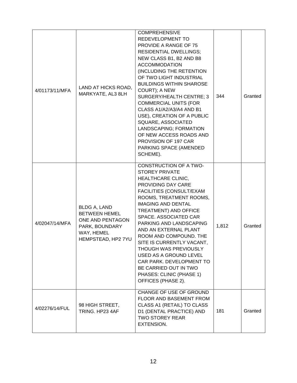| 4/01173/11/MFA | LAND AT HICKS ROAD,<br>MARKYATE, AL3 8LH                                                                              | <b>COMPREHENSIVE</b><br>REDEVELOPMENT TO<br><b>PROVIDE A RANGE OF 75</b><br><b>RESIDENTIAL DWELLINGS;</b><br>NEW CLASS B1, B2 AND B8<br><b>ACCOMMODATION</b><br>(INCLUDING THE RETENTION<br>OF TWO LIGHT INDUSTRIAL<br><b>BUILDINGS WITHIN SHAROSE</b><br>COURT); A NEW<br>SURGERY/HEALTH CENTRE; 3<br><b>COMMERCIAL UNITS (FOR</b><br>CLASS A1/A2/A3/A4 AND B1<br>USE), CREATION OF A PUBLIC<br>SQUARE, ASSOCIATED<br>LANDSCAPING; FORMATION<br>OF NEW ACCESS ROADS AND<br>PROVISION OF 197 CAR<br>PARKING SPACE (AMENDED<br>SCHEME). | 344   | Granted |
|----------------|-----------------------------------------------------------------------------------------------------------------------|----------------------------------------------------------------------------------------------------------------------------------------------------------------------------------------------------------------------------------------------------------------------------------------------------------------------------------------------------------------------------------------------------------------------------------------------------------------------------------------------------------------------------------------|-------|---------|
| 4/02047/14/MFA | <b>BLDG A, LAND</b><br><b>BETWEEN HEMEL</b><br>ONE AND PENTAGON<br>PARK, BOUNDARY<br>WAY, HEMEL<br>HEMPSTEAD, HP2 7YU | <b>CONSTRUCTION OF A TWO-</b><br><b>STOREY PRIVATE</b><br>HEALTHCARE CLINIC,<br><b>PROVIDING DAY CARE</b><br>FACILITIES (CONSULT/EXAM<br>ROOMS, TREATMENT ROOMS,<br><b>IMAGING AND DENTAL</b><br><b>TREATMENT) AND OFFICE</b><br>SPACE. ASSOCIATED CAR<br>PARKING AND LANDSCAPING<br>AND AN EXTERNAL PLANT<br>ROOM AND COMPOUND. THE<br>SITE IS CURRENTLY VACANT,<br><b>THOUGH WAS PREVIOUSLY</b><br>USED AS A GROUND LEVEL<br>CAR PARK. DEVELOPMENT TO<br>BE CARRIED OUT IN TWO<br>PHASES: CLINIC (PHASE 1)<br>OFFICES (PHASE 2).     | 1,812 | Granted |
| 4/02276/14/FUL | 98 HIGH STREET,<br>TRING, HP23 4AF                                                                                    | CHANGE OF USE OF GROUND<br><b>FLOOR AND BASEMENT FROM</b><br>CLASS A1 (RETAIL) TO CLASS<br>D1 (DENTAL PRACTICE) AND<br><b>TWO STOREY REAR</b><br>EXTENSION.                                                                                                                                                                                                                                                                                                                                                                            | 181   | Granted |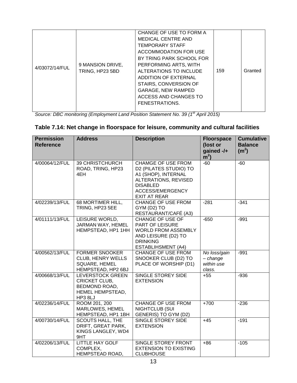|                |                  | CHANGE OF USE TO FORM A   |     |         |
|----------------|------------------|---------------------------|-----|---------|
|                |                  | <b>MEDICAL CENTRE AND</b> |     |         |
|                |                  | <b>TEMPORARY STAFF</b>    |     |         |
|                |                  | ACCOMMODATION FOR USE     |     |         |
|                |                  | BY TRING PARK SCHOOL FOR  |     |         |
|                | 9 MANSION DRIVE, | PERFORMING ARTS, WITH     |     |         |
| 4/03072/14/FUL | TRING, HP23 5BD  | ALTERATIONS TO INCLUDE    | 159 | Granted |
|                |                  | ADDITION OF EXTERNAL      |     |         |
|                |                  | STAIRS, CONVERSION OF     |     |         |
|                |                  | <b>GARAGE, NEW RAMPED</b> |     |         |
|                |                  | ACCESS AND CHANGES TO     |     |         |
|                |                  | FENESTRATIONS.            |     |         |
|                |                  |                           |     |         |

*Source: DBC monitoring (Employment Land Position Statement No. 39 (1st April 2015)*

#### **Table 7.14: Net change in floorspace for leisure, community and cultural facilities**

| <b>Permission</b><br><b>Reference</b> | <b>Address</b>                                                                                  | <b>Description</b>                                                                                                                                               | <b>Floorspace</b><br>(lost or<br>gained -/+<br>m <sup>2</sup> | <b>Cumulative</b><br><b>Balance</b><br>(m <sup>2</sup> ) |
|---------------------------------------|-------------------------------------------------------------------------------------------------|------------------------------------------------------------------------------------------------------------------------------------------------------------------|---------------------------------------------------------------|----------------------------------------------------------|
| 4/00064/12/FUL                        | 39 CHRISTCHURCH<br>ROAD, TRING, HP23<br>4EH                                                     | <b>CHAMGE OF USE FROM</b><br>D2 (PILATES STUDIO) TO<br>A1 (SHOP), INTERNAL<br>ALTERATIONS, REVISED<br><b>DISABLED</b><br>ACCESS/EMERGENCY<br><b>EXIT AT REAR</b> | $-60$                                                         | $-60$                                                    |
| 4/02239/13/FUL                        | 68 MORTIMER HILL,<br>TRING, HP23 5EE                                                            | <b>CHANGE OF USE FROM</b><br>GYM (D2) TO<br>RESTAURANT/CAFÉ (A3)                                                                                                 | $-281$                                                        | $-341$                                                   |
| 4/01111/13/FUL                        | LEISURE WORLD,<br>JARMAN WAY, HEMEL<br>HEMPSTEAD, HP1 1HH                                       | <b>CHANGE OF USE OF</b><br>PART OF LEISURE<br><b>WORLD FROM ASSEMBLY</b><br>AND LEISURE (D2) TO<br><b>DRINKING</b><br><b>ESTABLIHSMENT (A4)</b>                  | $-650$                                                        | $-991$                                                   |
| 4/00562/13/FUL                        | <b>FORMER SNOOKER</b><br><b>CLUB, HENRY WELLS</b><br><b>SQUARE, HEMEL</b><br>HEMPSTEAD, HP2 6BJ | <b>CHANGE OF USE FROM</b><br>SNOOKER CLUB (D2) TO<br>PLACE OF WORSHIP (D1)                                                                                       | No loss/gain<br>$- change$<br>within use<br>class.            | $-991$                                                   |
| 4/00668/13/FUL                        | <b>LEVERSTOCK GREEN</b><br><b>CRICKET CLUB,</b><br>BEDMOND ROAD,<br>HEMEL HEMPSTEAD,<br>HP3 8LJ | <b>SINGLE STOREY SIDE</b><br><b>EXTENSION</b>                                                                                                                    | $+55$                                                         | $-936$                                                   |
| 4/02236/14/FUL                        | ROOM 201, 200<br>MARLOWES, HEMEL<br>HEMPSTEAD, HP1 1BH                                          | <b>CHANGE OF USE FROM</b><br>NIGHTCLUB (SUI<br>GENERIS) TO GYM (D2)                                                                                              | $+700$                                                        | $-236$                                                   |
| 4/00730/14/FUL                        | <b>SCOUTS HALL, THE</b><br>DRIFT, GREAT PARK,<br>KINGS LANGLEY, WD4<br>9HT                      | SINGLE STOREY SIDE<br><b>EXTENSION</b>                                                                                                                           | $+45$                                                         | $-191$                                                   |
| 4/02206/13/FUL                        | <b>LITTLE HAY GOLF</b><br>COMPLEX,<br>HEMPSTEAD ROAD,                                           | SINGLE STOREY FRONT<br><b>EXTENSION TO EXISTING</b><br><b>CLUBHOUSE</b>                                                                                          | $+86$                                                         | $-105$                                                   |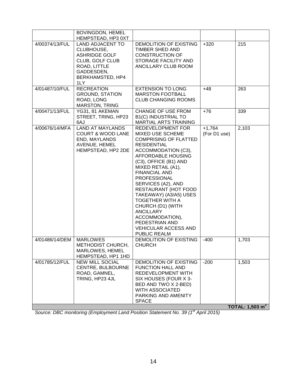|                | <b>BOVINGDON, HEMEL</b>                                                                                                                   |                                                                                                                                                                                                                                                                                                                                                                                                                                                                              |                          |                            |
|----------------|-------------------------------------------------------------------------------------------------------------------------------------------|------------------------------------------------------------------------------------------------------------------------------------------------------------------------------------------------------------------------------------------------------------------------------------------------------------------------------------------------------------------------------------------------------------------------------------------------------------------------------|--------------------------|----------------------------|
|                | HEMPSTEAD, HP3 0XT                                                                                                                        |                                                                                                                                                                                                                                                                                                                                                                                                                                                                              |                          |                            |
| 4/00374/13/FUL | <b>LAND ADJACENT TO</b><br>CLUBHOUSE,<br><b>ASHRIDGE GOLF</b><br>CLUB, GOLF CLUB<br>ROAD, LITTLE<br>GADDESDEN,<br>BERKHAMSTED, HP4<br>1LY | DEMOLITION OF EXISTING<br>TIMBER SHED AND<br><b>CONSTRUCTION OF</b><br>STORAGE FACILITY AND<br>ANCILLARY CLUB ROOM                                                                                                                                                                                                                                                                                                                                                           | $+320$                   | 215                        |
| 4/01487/10/FUL | <b>RECREATION</b><br><b>GROUND, STATION</b><br>ROAD, LONG<br><b>MARSTON, TRING</b>                                                        | <b>EXTENSION TO LONG</b><br><b>MARSTON FOOTBALL</b><br><b>CLUB CHANGING ROOMS</b>                                                                                                                                                                                                                                                                                                                                                                                            | $+48$                    | 263                        |
| 4/00471/13/FUL | YG31, 81 AKEMAN<br>STREET, TRING, HP23<br>6AJ                                                                                             | <b>CHANGE OF USE FROM</b><br><b>B1(C) INDUSTRIAL TO</b><br>MARTIAL ARTS TRAINING                                                                                                                                                                                                                                                                                                                                                                                             | $+76$                    | 339                        |
| 4/00676/14/MFA | <b>LAND AT MAYLANDS</b><br><b>COURT &amp; WOOD LANE</b><br>END, MAYLANDS<br>AVENUE, HEMEL<br>HEMPSTEAD, HP2 2DE                           | REDEVELOPMENT FOR<br>MIXED USE SCHEME<br><b>COMPRISING OF FLATTED</b><br><b>RESIDENTIAL</b><br>ACCOMMODATION (C3),<br><b>AFFORDABLE HOUSING</b><br>(C3), OFFICE (B1) AND<br>MIXED RETAIL (A1),<br><b>FINANCIAL AND</b><br><b>PROFESSIONAL</b><br>SERVICES (A2), AND<br>RESTAURANT (HOT FOOD<br>TAKEAWAY) (A3/A5) USES<br><b>TOGETHER WITH A</b><br>CHURCH (D1) (WITH<br><b>ANCILLARY</b><br>ACCOMMODATION),<br>PEDESTRIAN AND<br><b>VEHICULAR ACCESS AND</b><br>PUBLIC REALM | $+1,764$<br>(For D1 use) | 2,103                      |
| 4/01486/14/DEM | <b>MARLOWES</b><br>METHODIST CHURCH,<br>MARLOWES, HEMEL<br>HEMPSTEAD, HP1 1HD                                                             | <b>DEMOLITION OF EXISTING</b><br><b>CHURCH</b>                                                                                                                                                                                                                                                                                                                                                                                                                               | $-400$                   | 1,703                      |
| 4/01785/12/FUL | <b>NEW MILL SOCIAL</b><br>CENTRE, BULBOURNE<br>ROAD, GAMNEL,<br>TRING, HP23 4JL                                                           | DEMOLITION OF EXISTING<br><b>FUNCTION HALL AND</b><br><b>REDEVELOPMENT WITH</b><br>SIX HOUSES (FOUR X 3-<br>BED AND TWO X 2-BED)<br><b>WITH ASSOCIATED</b><br>PARKING AND AMENITY<br><b>SPACE</b>                                                                                                                                                                                                                                                                            | $-200$                   | 1,503                      |
|                |                                                                                                                                           |                                                                                                                                                                                                                                                                                                                                                                                                                                                                              |                          | TOTAL: $1,503 \text{ m}^2$ |

*Source: DBC monitoring (Employment Land Position Statement No. 39 (1st April 2015)*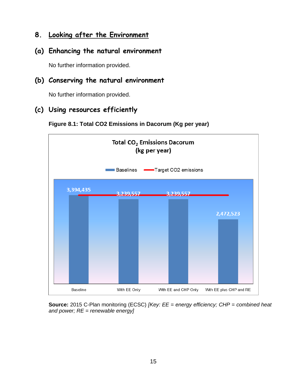## **8. Looking after the Environment**

#### **(a) Enhancing the natural environment**

No further information provided.

#### **(b) Conserving the natural environment**

No further information provided.

#### **(c) Using resources efficiently**





**Source:** 2015 C-Plan monitoring (ECSC) *[Key: EE = energy efficiency; CHP = combined heat and power; RE = renewable energy]*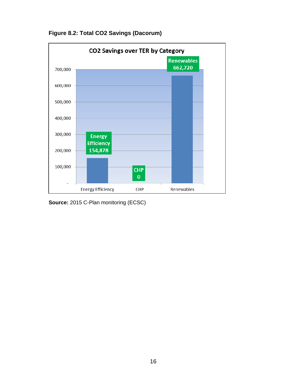

**Figure 8.2: Total CO2 Savings (Dacorum)**

**Source:** 2015 C-Plan monitoring (ECSC)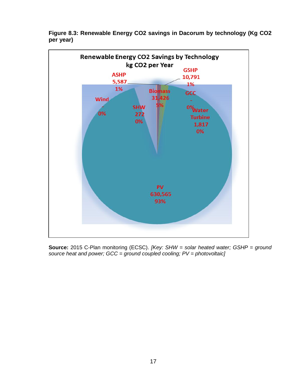

**Figure 8.3: Renewable Energy CO2 savings in Dacorum by technology (Kg CO2 per year)**

**Source:** 2015 C-Plan monitoring (ECSC). *[Key: SHW = solar heated water; GSHP = ground source heat and power; GCC = ground coupled cooling; PV = photovoltaic]*